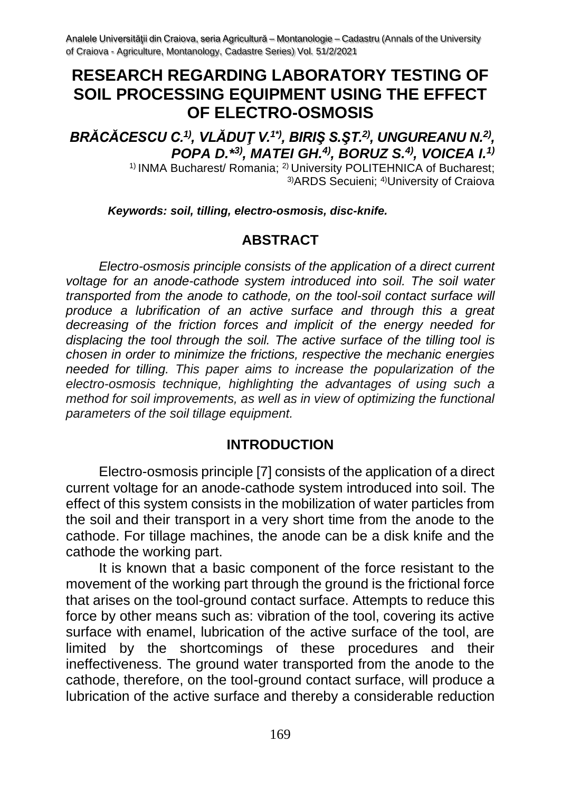# **RESEARCH REGARDING LABORATORY TESTING OF SOIL PROCESSING EQUIPMENT USING THE EFFECT OF ELECTRO-OSMOSIS**

*BRĂCĂCESCU C.1) , VLĂDUŢ V. 1\*) , BIRIŞ S.ŞT. 2) , UNGUREANU N.2) , POPA D.\* 3), MATEI GH.4), BORUZ S.4), VOICEA I.1)*

1) INMA Bucharest/ Romania; 2) University POLITEHNICA of Bucharest; 3)ARDS Secuieni; 4)University of Craiova

*Keywords: soil, tilling, electro-osmosis, disc-knife.*

#### **ABSTRACT**

*Electro-osmosis principle consists of the application of a direct current voltage for an anode-cathode system introduced into soil. The soil water transported from the anode to cathode, on the tool-soil contact surface will produce a lubrification of an active surface and through this a great decreasing of the friction forces and implicit of the energy needed for displacing the tool through the soil. The active surface of the tilling tool is chosen in order to minimize the frictions, respective the mechanic energies needed for tilling. This paper aims to increase the popularization of the electro-osmosis technique, highlighting the advantages of using such a method for soil improvements, as well as in view of optimizing the functional parameters of the soil tillage equipment.*

### **INTRODUCTION**

Electro-osmosis principle [7] consists of the application of a direct current voltage for an anode-cathode system introduced into soil. The effect of this system consists in the mobilization of water particles from the soil and their transport in a very short time from the anode to the cathode. For tillage machines, the anode can be a disk knife and the cathode the working part.

It is known that a basic component of the force resistant to the movement of the working part through the ground is the frictional force that arises on the tool-ground contact surface. Attempts to reduce this force by other means such as: vibration of the tool, covering its active surface with enamel, lubrication of the active surface of the tool, are limited by the shortcomings of these procedures and their ineffectiveness. The ground water transported from the anode to the cathode, therefore, on the tool-ground contact surface, will produce a lubrication of the active surface and thereby a considerable reduction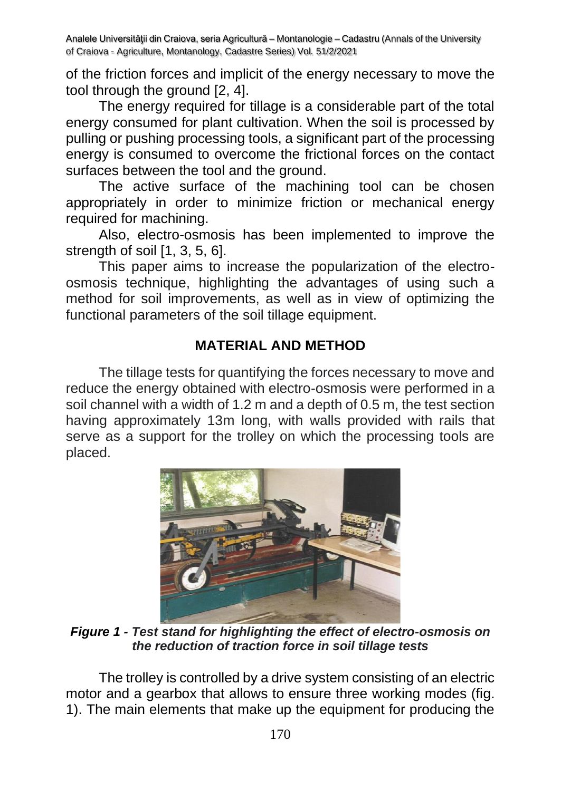of the friction forces and implicit of the energy necessary to move the tool through the ground [2, 4].

The energy required for tillage is a considerable part of the total energy consumed for plant cultivation. When the soil is processed by pulling or pushing processing tools, a significant part of the processing energy is consumed to overcome the frictional forces on the contact surfaces between the tool and the ground.

The active surface of the machining tool can be chosen appropriately in order to minimize friction or mechanical energy required for machining.

Also, electro-osmosis has been implemented to improve the strength of soil [1, 3, 5, 6].

This paper aims to increase the popularization of the electroosmosis technique, highlighting the advantages of using such a method for soil improvements, as well as in view of optimizing the functional parameters of the soil tillage equipment.

### **MATERIAL AND METHOD**

The tillage tests for quantifying the forces necessary to move and reduce the energy obtained with electro-osmosis were performed in a soil channel with a width of 1.2 m and a depth of 0.5 m, the test section having approximately 13m long, with walls provided with rails that serve as a support for the trolley on which the processing tools are placed.



*Figure 1 - Test stand for highlighting the effect of electro-osmosis on the reduction of traction force in soil tillage tests*

The trolley is controlled by a drive system consisting of an electric motor and a gearbox that allows to ensure three working modes (fig. 1). The main elements that make up the equipment for producing the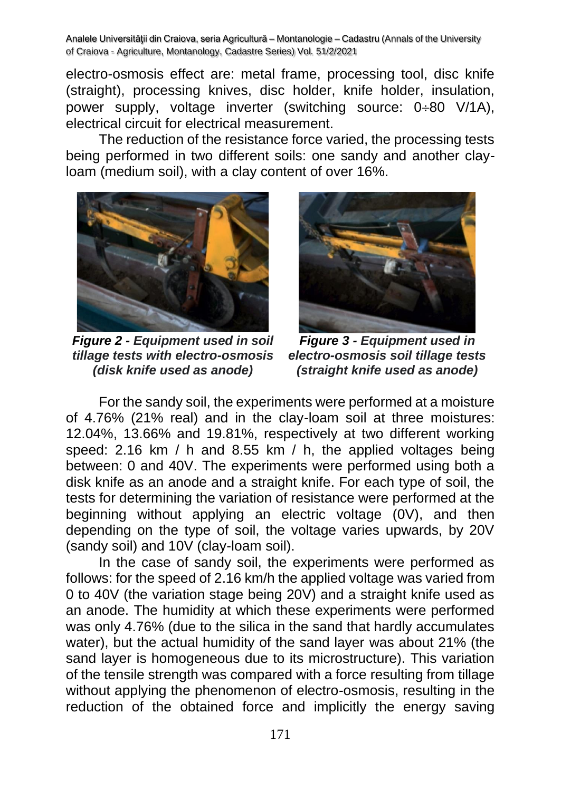electro-osmosis effect are: metal frame, processing tool, disc knife (straight), processing knives, disc holder, knife holder, insulation, power supply, voltage inverter (switching source:  $0\div 80$  V/1A), electrical circuit for electrical measurement.

The reduction of the resistance force varied, the processing tests being performed in two different soils: one sandy and another clayloam (medium soil), with a clay content of over 16%.



*Figure 2 - Equipment used in soil tillage tests with electro-osmosis (disk knife used as anode)*



*Figure 3 - Equipment used in electro-osmosis soil tillage tests (straight knife used as anode)*

For the sandy soil, the experiments were performed at a moisture of 4.76% (21% real) and in the clay-loam soil at three moistures: 12.04%, 13.66% and 19.81%, respectively at two different working speed: 2.16 km / h and 8.55 km / h, the applied voltages being between: 0 and 40V. The experiments were performed using both a disk knife as an anode and a straight knife. For each type of soil, the tests for determining the variation of resistance were performed at the beginning without applying an electric voltage (0V), and then depending on the type of soil, the voltage varies upwards, by 20V (sandy soil) and 10V (clay-loam soil).

In the case of sandy soil, the experiments were performed as follows: for the speed of 2.16 km/h the applied voltage was varied from 0 to 40V (the variation stage being 20V) and a straight knife used as an anode. The humidity at which these experiments were performed was only 4.76% (due to the silica in the sand that hardly accumulates water), but the actual humidity of the sand layer was about 21% (the sand layer is homogeneous due to its microstructure). This variation of the tensile strength was compared with a force resulting from tillage without applying the phenomenon of electro-osmosis, resulting in the reduction of the obtained force and implicitly the energy saving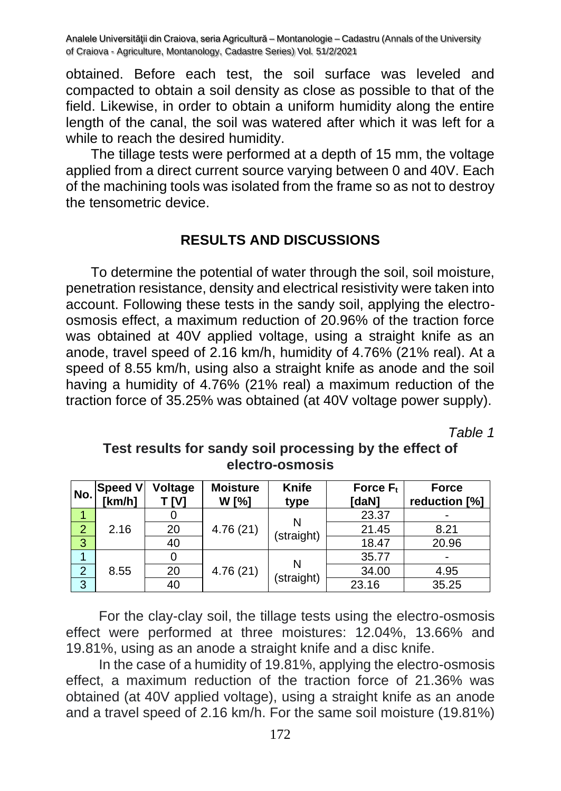obtained. Before each test, the soil surface was leveled and compacted to obtain a soil density as close as possible to that of the field. Likewise, in order to obtain a uniform humidity along the entire length of the canal, the soil was watered after which it was left for a while to reach the desired humidity.

The tillage tests were performed at a depth of 15 mm, the voltage applied from a direct current source varying between 0 and 40V. Each of the machining tools was isolated from the frame so as not to destroy the tensometric device.

## **RESULTS AND DISCUSSIONS**

To determine the potential of water through the soil, soil moisture, penetration resistance, density and electrical resistivity were taken into account. Following these tests in the sandy soil, applying the electroosmosis effect, a maximum reduction of 20.96% of the traction force was obtained at 40V applied voltage, using a straight knife as an anode, travel speed of 2.16 km/h, humidity of 4.76% (21% real). At a speed of 8.55 km/h, using also a straight knife as anode and the soil having a humidity of 4.76% (21% real) a maximum reduction of the traction force of 35.25% was obtained (at 40V voltage power supply).

*Table 1*

| No.            | Speed V<br>  [km/h] | Voltage<br>T IVI | <b>Moisture</b><br>W [%] | Knife<br>type   | Force $F_t$<br>[daN] | <b>Force</b><br>reduction [%] |
|----------------|---------------------|------------------|--------------------------|-----------------|----------------------|-------------------------------|
|                | 2.16                |                  | 4.76(21)                 | N<br>(straight) | 23.37                |                               |
| $\overline{2}$ |                     | 20               |                          |                 | 21.45                | 8.21                          |
| $\overline{3}$ |                     | 40               |                          |                 | 18.47                | 20.96                         |
|                |                     |                  |                          |                 | 35.77                |                               |
| $\overline{2}$ | 8.55                | 20               | 4.76(21)                 | N               | 34.00                | 4.95                          |
| 3              |                     | 40               |                          | (straight)      | 23.16                | 35.25                         |

# **Test results for sandy soil processing by the effect of electro-osmosis**

For the clay-clay soil, the tillage tests using the electro-osmosis effect were performed at three moistures: 12.04%, 13.66% and 19.81%, using as an anode a straight knife and a disc knife.

In the case of a humidity of 19.81%, applying the electro-osmosis effect, a maximum reduction of the traction force of 21.36% was obtained (at 40V applied voltage), using a straight knife as an anode and a travel speed of 2.16 km/h. For the same soil moisture (19.81%)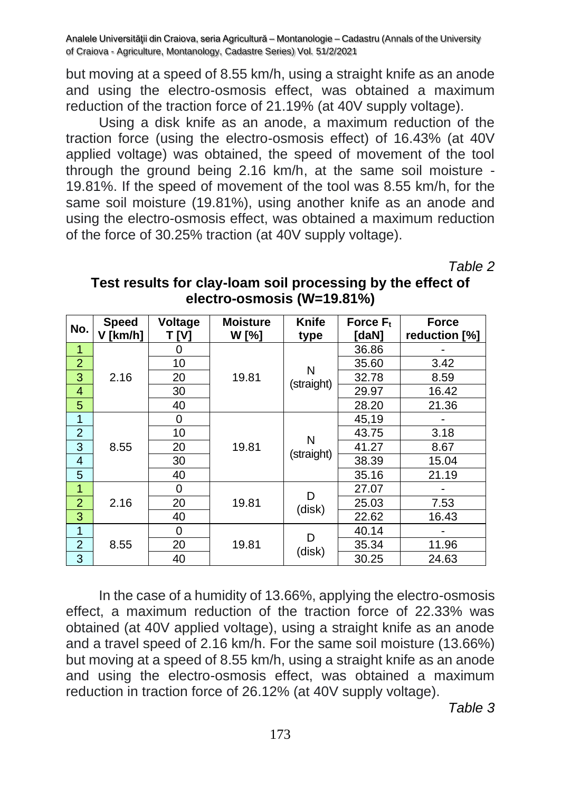but moving at a speed of 8.55 km/h, using a straight knife as an anode and using the electro-osmosis effect, was obtained a maximum reduction of the traction force of 21.19% (at 40V supply voltage).

Using a disk knife as an anode, a maximum reduction of the traction force (using the electro-osmosis effect) of 16.43% (at 40V applied voltage) was obtained, the speed of movement of the tool through the ground being 2.16 km/h, at the same soil moisture - 19.81%. If the speed of movement of the tool was 8.55 km/h, for the same soil moisture (19.81%), using another knife as an anode and using the electro-osmosis effect, was obtained a maximum reduction of the force of 30.25% traction (at 40V supply voltage).

*Table 2*

| Test results for clay-loam soil processing by the effect of |
|-------------------------------------------------------------|
| electro-osmosis (W=19.81%)                                  |

| No.            | <b>Speed</b> | Voltage | <b>Moisture</b> | Knife           | Force $F_t$ | <b>Force</b>  |
|----------------|--------------|---------|-----------------|-----------------|-------------|---------------|
|                | V [km/h]     | [V]     | W [%]           | type            | [daN]       | reduction [%] |
| $\mathbf{1}$   | 2.16         | 0       | 19.81           | Ν<br>(straight) | 36.86       |               |
| $\overline{2}$ |              | 10      |                 |                 | 35.60       | 3.42          |
| 3              |              | 20      |                 |                 | 32.78       | 8.59          |
| 4              |              | 30      |                 |                 | 29.97       | 16.42         |
| 5              |              | 40      |                 |                 | 28.20       | 21.36         |
| 1              |              | 0       |                 |                 | 45,19       |               |
| $\overline{2}$ | 8.55         | 10      | 19.81           | N<br>(straight) | 43.75       | 3.18          |
| 3              |              | 20      |                 |                 | 41.27       | 8.67          |
| 4              |              | 30      |                 |                 | 38.39       | 15.04         |
| 5              |              | 40      |                 |                 | 35.16       | 21.19         |
| 1              |              | 0       |                 | D               | 27.07       |               |
| $\overline{2}$ | 2.16         | 20      | 19.81           | (disk)          | 25.03       | 7.53          |
| 3              |              | 40      |                 |                 | 22.62       | 16.43         |
| 1              |              | 0       |                 | D               | 40.14       |               |
| $\overline{2}$ | 8.55         | 20      | 19.81           | (disk)          | 35.34       | 11.96         |
| 3              |              | 40      |                 |                 | 30.25       | 24.63         |

In the case of a humidity of 13.66%, applying the electro-osmosis effect, a maximum reduction of the traction force of 22.33% was obtained (at 40V applied voltage), using a straight knife as an anode and a travel speed of 2.16 km/h. For the same soil moisture (13.66%) but moving at a speed of 8.55 km/h, using a straight knife as an anode and using the electro-osmosis effect, was obtained a maximum reduction in traction force of 26.12% (at 40V supply voltage).

*Table 3*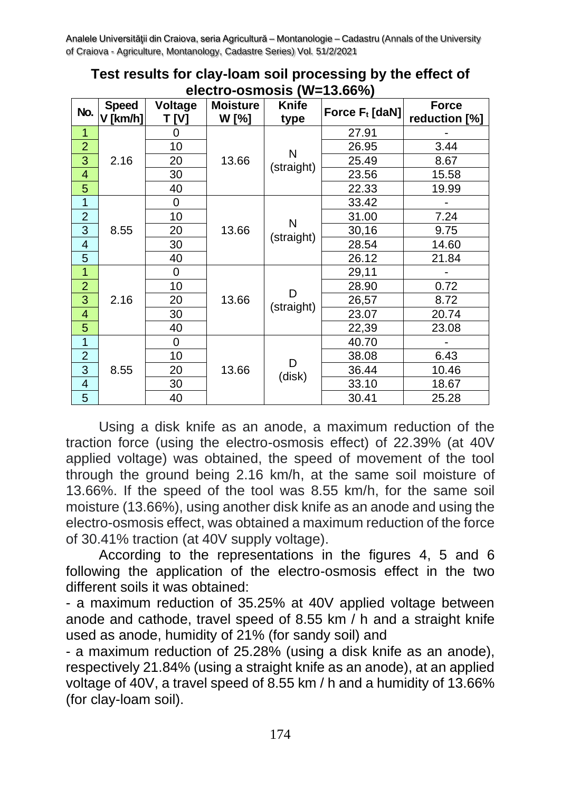| No.                      | <b>Speed</b> | Voltage  | <b>Moisture</b><br>W [%] | Knife           | Force $F_t$ [daN] | <b>Force</b>  |
|--------------------------|--------------|----------|--------------------------|-----------------|-------------------|---------------|
|                          | V [km/h]     | T IVI    |                          | type            |                   | reduction [%] |
| $\mathbf{1}$             | 2.16         | 0        | 13.66                    | N<br>(straight) | 27.91             |               |
| $\overline{2}$           |              | 10       |                          |                 | 26.95             | 3.44          |
| 3                        |              | 20       |                          |                 | 25.49             | 8.67          |
| $\overline{\mathcal{A}}$ |              | 30       |                          |                 | 23.56             | 15.58         |
| 5                        |              | 40       |                          |                 | 22.33             | 19.99         |
| $\overline{1}$           |              | $\Omega$ | 13.66                    | N<br>(straight) | 33.42             |               |
| $\overline{c}$           | 8.55         | 10       |                          |                 | 31.00             | 7.24          |
| $\overline{3}$           |              | 20       |                          |                 | 30,16             | 9.75          |
| $\overline{\mathcal{A}}$ |              | 30       |                          |                 | 28.54             | 14.60         |
| 5                        |              | 40       |                          |                 | 26.12             | 21.84         |
| $\overline{1}$           | 2.16         | 0        | 13.66                    | D<br>(straight) | 29,11             |               |
| $\overline{a}$           |              | 10       |                          |                 | 28.90             | 0.72          |
| 3                        |              | 20       |                          |                 | 26,57             | 8.72          |
| 4                        |              | 30       |                          |                 | 23.07             | 20.74         |
| 5                        |              | 40       |                          |                 | 22,39             | 23.08         |
| $\overline{\mathbf{1}}$  | 8.55         | 0        | 13.66                    | D<br>(disk)     | 40.70             |               |
| $\overline{c}$           |              | 10       |                          |                 | 38.08             | 6.43          |
| $\overline{3}$           |              | 20       |                          |                 | 36.44             | 10.46         |
| 4                        |              | 30       |                          |                 | 33.10             | 18.67         |
| 5                        |              | 40       |                          |                 | 30.41             | 25.28         |

**Test results for clay-loam soil processing by the effect of electro-osmosis (W=13.66%)**

Using a disk knife as an anode, a maximum reduction of the traction force (using the electro-osmosis effect) of 22.39% (at 40V applied voltage) was obtained, the speed of movement of the tool through the ground being 2.16 km/h, at the same soil moisture of 13.66%. If the speed of the tool was 8.55 km/h, for the same soil moisture (13.66%), using another disk knife as an anode and using the electro-osmosis effect, was obtained a maximum reduction of the force of 30.41% traction (at 40V supply voltage).

According to the representations in the figures 4, 5 and 6 following the application of the electro-osmosis effect in the two different soils it was obtained:

- a maximum reduction of 35.25% at 40V applied voltage between anode and cathode, travel speed of 8.55 km / h and a straight knife used as anode, humidity of 21% (for sandy soil) and

- a maximum reduction of 25.28% (using a disk knife as an anode), respectively 21.84% (using a straight knife as an anode), at an applied voltage of 40V, a travel speed of 8.55 km / h and a humidity of 13.66% (for clay-loam soil).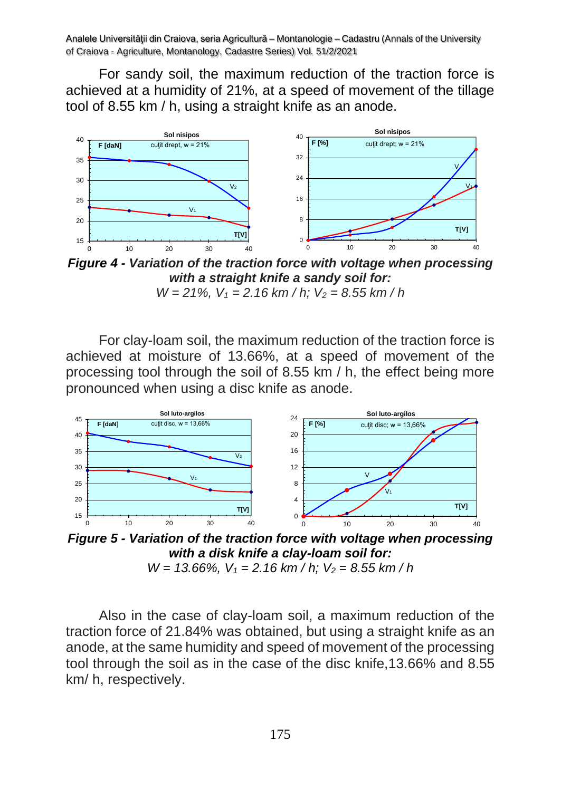For sandy soil, the maximum reduction of the traction force is achieved at a humidity of 21%, at a speed of movement of the tillage tool of 8.55 km / h, using a straight knife as an anode.



*Figure 4 - Variation of the traction force with voltage when processing with a straight knife a sandy soil for:* 

For clay-loam soil, the maximum reduction of the traction force is achieved at moisture of 13.66%, at a speed of movement of the processing tool through the soil of 8.55 km / h, the effect being more pronounced when using a disc knife as anode.



*Figure 5 - Variation of the traction force with voltage when processing with a disk knife a clay-loam soil for:* 

*W = 13.66%, V<sup>1</sup> = 2.16 km / h; V<sup>2</sup> = 8.55 km / h*

Also in the case of clay-loam soil, a maximum reduction of the traction force of 21.84% was obtained, but using a straight knife as an anode, at the same humidity and speed of movement of the processing tool through the soil as in the case of the disc knife,13.66% and 8.55 km/ h, respectively.

*W = 21%, V<sup>1</sup> = 2.16 km / h; V<sup>2</sup> = 8.55 km / h*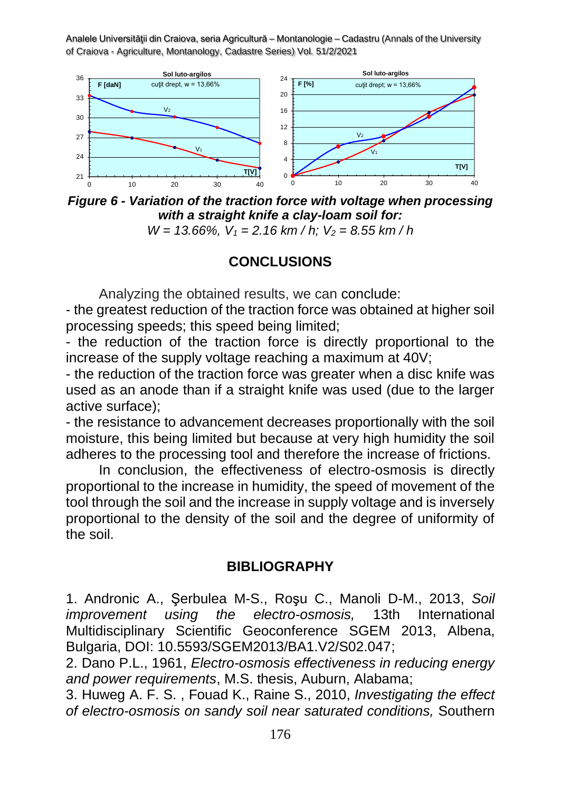

*Figure 6 - Variation of the traction force with voltage when processing with a straight knife a clay-loam soil for:* 

*W = 13.66%, V<sup>1</sup> = 2.16 km / h; V<sup>2</sup> = 8.55 km / h*

### **CONCLUSIONS**

Analyzing the obtained results, we can conclude:

- the greatest reduction of the traction force was obtained at higher soil processing speeds; this speed being limited;

- the reduction of the traction force is directly proportional to the increase of the supply voltage reaching a maximum at 40V;

- the reduction of the traction force was greater when a disc knife was used as an anode than if a straight knife was used (due to the larger active surface);

- the resistance to advancement decreases proportionally with the soil moisture, this being limited but because at very high humidity the soil adheres to the processing tool and therefore the increase of frictions.

In conclusion, the effectiveness of electro-osmosis is directly proportional to the increase in humidity, the speed of movement of the tool through the soil and the increase in supply voltage and is inversely proportional to the density of the soil and the degree of uniformity of the soil.

### **BIBLIOGRAPHY**

1. [Andronic](https://www.researchgate.net/profile/Adrian-Andronic-3?_iepl%5BgeneralViewId%5D=RQs1KcQPTKRQ0EDmlCI50nX3fKkOCETFXBfz&_iepl%5Bcontexts%5D%5B0%5D=searchReact&_iepl%5BviewId%5D=q1YTL19KGN33EPOncaxnT5x22MwIxSBNelK8&_iepl%5BsearchType%5D=publication&_iepl%5Bdata%5D%5BcountLessEqual20%5D=1&_iepl%5Bdata%5D%5BinteractedWithPosition20plus%5D=1&_iepl%5Bdata%5D%5BwithoutEnrichment%5D=1&_iepl%5Bposition%5D=29&_iepl%5BrgKey%5D=PB%3A262672803&_iepl%5BtargetEntityId%5D=PB%3A262672803&_iepl%5BinteractionType%5D=publicationViewCoAuthorProfile) A., Şerbulea M-S., Roşu C., Manoli D-M., 2013, *[Soil](https://www.researchgate.net/publication/262672803_Soil_improvement_using_the_electro-osmosis?_iepl%5BgeneralViewId%5D=RQs1KcQPTKRQ0EDmlCI50nX3fKkOCETFXBfz&_iepl%5Bcontexts%5D%5B0%5D=searchReact&_iepl%5BviewId%5D=q1YTL19KGN33EPOncaxnT5x22MwIxSBNelK8&_iepl%5BsearchType%5D=publication&_iepl%5Bdata%5D%5BcountLessEqual20%5D=1&_iepl%5Bdata%5D%5BinteractedWithPosition20plus%5D=1&_iepl%5Bdata%5D%5BwithoutEnrichment%5D=1&_iepl%5Bposition%5D=29&_iepl%5BrgKey%5D=PB%3A262672803&_iepl%5BtargetEntityId%5D=PB%3A262672803&_iepl%5BinteractionType%5D=publicationTitle) improvement using the [electro-osmosis,](https://www.researchgate.net/publication/262672803_Soil_improvement_using_the_electro-osmosis?_iepl%5BgeneralViewId%5D=RQs1KcQPTKRQ0EDmlCI50nX3fKkOCETFXBfz&_iepl%5Bcontexts%5D%5B0%5D=searchReact&_iepl%5BviewId%5D=q1YTL19KGN33EPOncaxnT5x22MwIxSBNelK8&_iepl%5BsearchType%5D=publication&_iepl%5Bdata%5D%5BcountLessEqual20%5D=1&_iepl%5Bdata%5D%5BinteractedWithPosition20plus%5D=1&_iepl%5Bdata%5D%5BwithoutEnrichment%5D=1&_iepl%5Bposition%5D=29&_iepl%5BrgKey%5D=PB%3A262672803&_iepl%5BtargetEntityId%5D=PB%3A262672803&_iepl%5BinteractionType%5D=publicationTitle)* 13th International Multidisciplinary Scientific Geoconference SGEM 2013, Albena, Bulgaria, DOI: 10.5593/SGEM2013/BA1.V2/S02.047;

2. Dano P.L., 1961, *Electro-osmosis effectiveness in reducing energy and power requirements*, M.S. thesis, Auburn, Alabama;

3. Huweg [A.](https://www.researchgate.net/scientific-contributions/Abdurrahman-F-S-Huweg-2075248445?_iepl%5BgeneralViewId%5D=AMmjBzWh9ZYjq5d0xg7i9Zizf54zOfek7iRD&_iepl%5Bcontexts%5D%5B0%5D=searchReact&_iepl%5BviewId%5D=ONOl0tI4yMaTOgSb9X041F0GhHVI8BmxqKHl&_iepl%5BsearchType%5D=publication&_iepl%5Bdata%5D%5BcountLessEqual20%5D=1&_iepl%5Bdata%5D%5BinteractedWithPosition19%5D=1&_iepl%5Bdata%5D%5BwithoutEnrichment%5D=1&_iepl%5Bposition%5D=19&_iepl%5BrgKey%5D=PB%3A277786020&_iepl%5BtargetEntityId%5D=PB%3A277786020&_iepl%5BinteractionType%5D=publicationViewCoAuthorProfile) F. S. , [Fouad](https://www.researchgate.net/scientific-contributions/Fouad-Kamel-2075208436?_iepl%5BgeneralViewId%5D=AMmjBzWh9ZYjq5d0xg7i9Zizf54zOfek7iRD&_iepl%5Bcontexts%5D%5B0%5D=searchReact&_iepl%5BviewId%5D=ONOl0tI4yMaTOgSb9X041F0GhHVI8BmxqKHl&_iepl%5BsearchType%5D=publication&_iepl%5Bdata%5D%5BcountLessEqual20%5D=1&_iepl%5Bdata%5D%5BinteractedWithPosition19%5D=1&_iepl%5Bdata%5D%5BwithoutEnrichment%5D=1&_iepl%5Bposition%5D=19&_iepl%5BrgKey%5D=PB%3A277786020&_iepl%5BtargetEntityId%5D=PB%3A277786020&_iepl%5BinteractionType%5D=publicationViewCoAuthorProfile) K., Raine S., 2010, *[Investigating](https://www.researchgate.net/publication/277786020_Investigating_the_effect_of_electro-osmosis_on_sandy_soil_near_saturated_conditions?_iepl%5BgeneralViewId%5D=AMmjBzWh9ZYjq5d0xg7i9Zizf54zOfek7iRD&_iepl%5Bcontexts%5D%5B0%5D=searchReact&_iepl%5BviewId%5D=ONOl0tI4yMaTOgSb9X041F0GhHVI8BmxqKHl&_iepl%5BsearchType%5D=publication&_iepl%5Bdata%5D%5BcountLessEqual20%5D=1&_iepl%5Bdata%5D%5BinteractedWithPosition19%5D=1&_iepl%5Bdata%5D%5BwithoutEnrichment%5D=1&_iepl%5Bposition%5D=19&_iepl%5BrgKey%5D=PB%3A277786020&_iepl%5BtargetEntityId%5D=PB%3A277786020&_iepl%5BinteractionType%5D=publicationTitle) the effect of [electro-osmosis](https://www.researchgate.net/publication/277786020_Investigating_the_effect_of_electro-osmosis_on_sandy_soil_near_saturated_conditions?_iepl%5BgeneralViewId%5D=AMmjBzWh9ZYjq5d0xg7i9Zizf54zOfek7iRD&_iepl%5Bcontexts%5D%5B0%5D=searchReact&_iepl%5BviewId%5D=ONOl0tI4yMaTOgSb9X041F0GhHVI8BmxqKHl&_iepl%5BsearchType%5D=publication&_iepl%5Bdata%5D%5BcountLessEqual20%5D=1&_iepl%5Bdata%5D%5BinteractedWithPosition19%5D=1&_iepl%5Bdata%5D%5BwithoutEnrichment%5D=1&_iepl%5Bposition%5D=19&_iepl%5BrgKey%5D=PB%3A277786020&_iepl%5BtargetEntityId%5D=PB%3A277786020&_iepl%5BinteractionType%5D=publicationTitle) on sandy soil near saturated conditions,* Southern